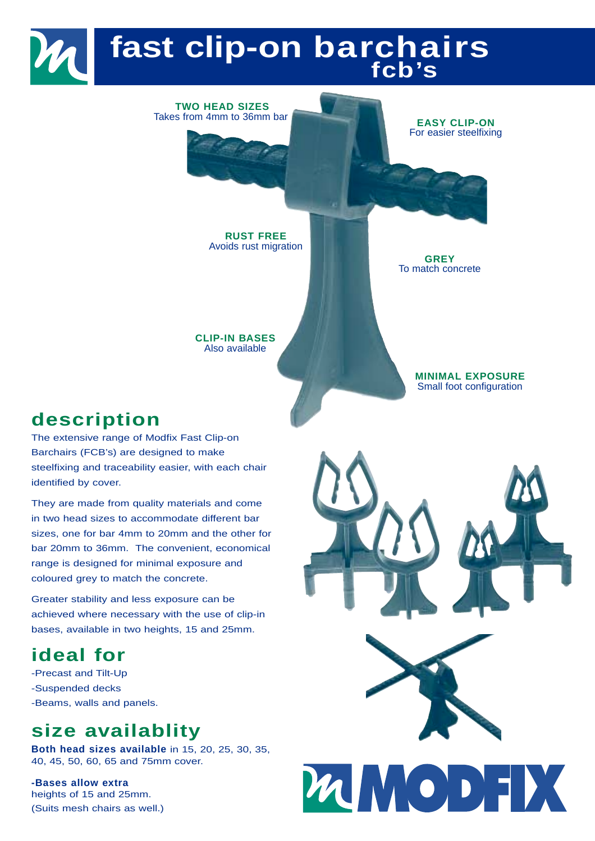## **fast clip-on barchairs fcb's**

**TWO HEAD SIZES** Takes from 4mm to 36mm bar **EASY CLIP-ON** 

For easier steelfixing

**RUST FREE** Avoids rust migration

**GREY** To match concrete

**CLIP-IN BASES** Also available

> **MINIMAL EXPOSURE** Small foot configuration

### **description**

The extensive range of Modfix Fast Clip-on Barchairs (FCB's) are designed to make steelfixing and traceability easier, with each chair identified by cover.

They are made from quality materials and come in two head sizes to accommodate different bar sizes, one for bar 4mm to 20mm and the other for bar 20mm to 36mm. The convenient, economical range is designed for minimal exposure and coloured grey to match the concrete.

Greater stability and less exposure can be achieved where necessary with the use of clip-in bases, available in two heights, 15 and 25mm.

### **ideal for**

-Precast and Tilt-Up -Suspended decks -Beams, walls and panels.

## **size availablity**

**Both head sizes available** in 15, 20, 25, 30, 35, 40, 45, 50, 60, 65 and 75mm cover.

**-Bases allow extra** heights of 15 and 25mm. (Suits mesh chairs as well.)